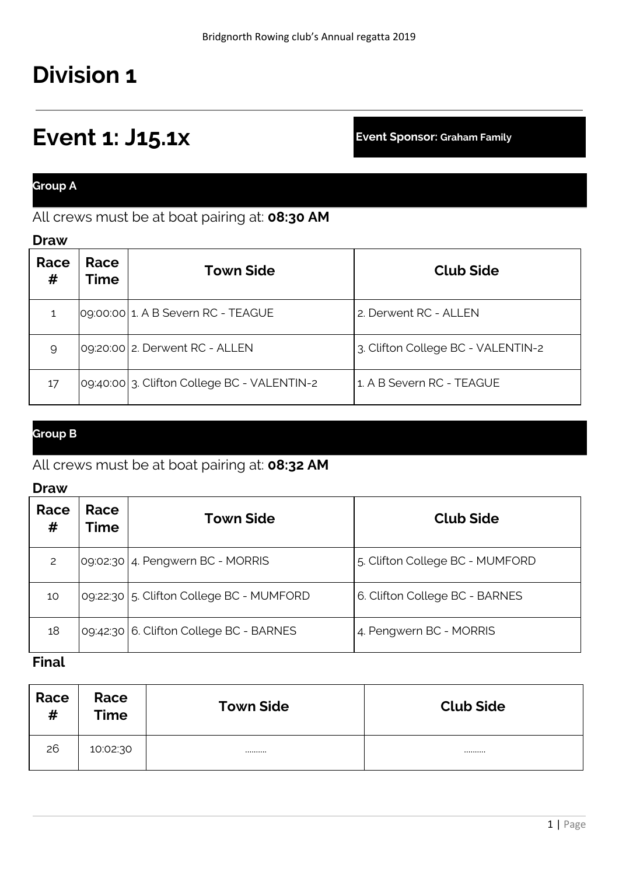### **Division 1**

### **Event 1: J15.1x Event Sponsor: Graham Family**

### **Group A**

All crews must be at boat pairing at: **08:30 AM**

#### **Draw**

| Race<br># | Race<br>Time | <b>Town Side</b>                            | <b>Club Side</b>                   |
|-----------|--------------|---------------------------------------------|------------------------------------|
|           |              | 09:00:00 1. A B Severn RC - TEAGUE          | 2. Derwent RC - ALLEN              |
| 9         |              | 09:20:00 2. Derwent RC - ALLEN              | 3. Clifton College BC - VALENTIN-2 |
| 17        |              | 09:40:00 3. Clifton College BC - VALENTIN-2 | 1. A B Severn RC - TEAGUE          |

### **Group B**

#### All crews must be at boat pairing at: **08:32 AM**

#### **Draw**

| Race<br># | Race<br><b>Time</b> | <b>Town Side</b>                          | <b>Club Side</b>                |
|-----------|---------------------|-------------------------------------------|---------------------------------|
| 2         |                     | 09:02:30 4. Pengwern BC - MORRIS          | 5. Clifton College BC - MUMFORD |
| 10        |                     | 09:22:30 5. Clifton College BC - MUMFORD  | 6. Clifton College BC - BARNES  |
| 18        |                     | 09:42:30   6. Clifton College BC - BARNES | 4. Pengwern BC - MORRIS         |

### **Final**

| Race<br># | Race<br><b>Time</b> | <b>Town Side</b> | <b>Club Side</b> |
|-----------|---------------------|------------------|------------------|
| 26        | 10:02:30            |                  |                  |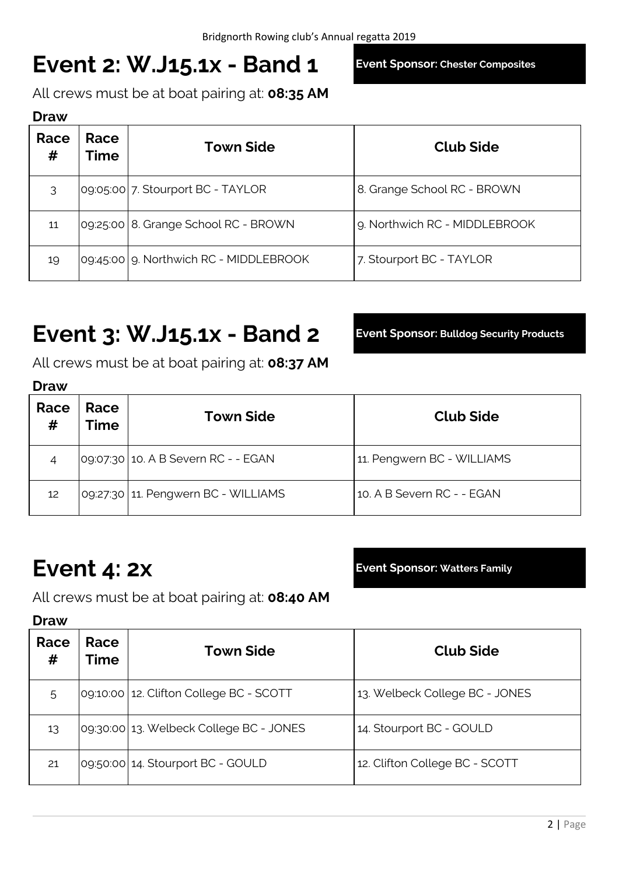# **Event 2: W.J15.1x - Band 1 Event Sponsor: Chester Composites**

All crews must be at boat pairing at: **08:35 AM**

#### **Draw**

| Race<br># | Race<br>Time | <b>Town Side</b>                       | <b>Club Side</b>              |
|-----------|--------------|----------------------------------------|-------------------------------|
| 3         |              | 09:05:00 7. Stourport BC - TAYLOR      | 8. Grange School RC - BROWN   |
| 11        |              | 09:25:00 8. Grange School RC - BROWN   | 9. Northwich RC - MIDDLEBROOK |
| 19        |              | 09:45:00 9. Northwich RC - MIDDLEBROOK | 7. Stourport BC - TAYLOR      |

### **Event 3: W.J15.1x - Band 2 Event Sponsor: Bulldog Security Products**

All crews must be at boat pairing at: **08:37 AM**

### **Draw**

| Race<br># | Race<br>Time | <b>Town Side</b>                    | <b>Club Side</b>           |
|-----------|--------------|-------------------------------------|----------------------------|
| 4         |              | 09:07:30 10. A B Severn RC - - EGAN | 11. Pengwern BC - WILLIAMS |
| 12        |              | 09:27:30 11. Pengwern BC - WILLIAMS | 10. A B Severn RC - - EGAN |

### **Event 4: 2x Event Sponsor: Watters Family**

All crews must be at boat pairing at: **08:40 AM**

| Race<br># | Race<br>Time | <b>Town Side</b>                        | <b>Club Side</b>               |
|-----------|--------------|-----------------------------------------|--------------------------------|
| 5         |              | 09:10:00 12. Clifton College BC - SCOTT | 13. Welbeck College BC - JONES |
| 13        |              | 09:30:00 13. Welbeck College BC - JONES | 14. Stourport BC - GOULD       |
| 21        |              | 09:50:00 14. Stourport BC - GOULD       | 12. Clifton College BC - SCOTT |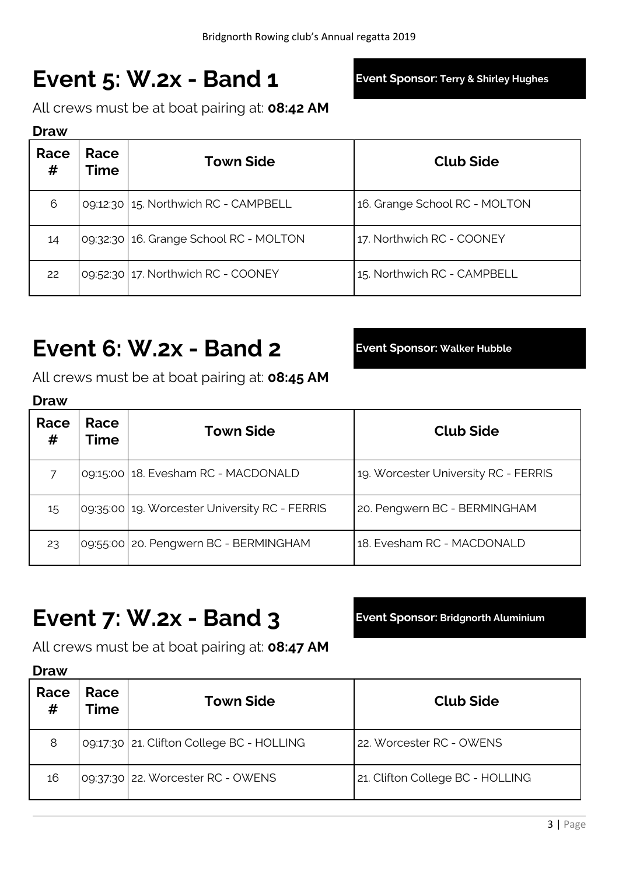### **Event 5: W.2x - Band 1 Event Sponsor: Terry & Shirley Hughes**

All crews must be at boat pairing at: **08:42 AM**

#### **Draw**

| Race<br># | Race<br><b>Time</b> | <b>Town Side</b>                       | <b>Club Side</b>              |
|-----------|---------------------|----------------------------------------|-------------------------------|
| 6         |                     | 09:12:30   15. Northwich RC - CAMPBELL | 16. Grange School RC - MOLTON |
| 14        |                     | 09:32:30 16. Grange School RC - MOLTON | 17. Northwich RC - COONEY     |
| 22        |                     | 09:52:30 17. Northwich RC - COONEY     | 15. Northwich RC - CAMPBELL   |

### **Event 6: W.2x - Band 2 Event Sponsor: Walker Hubble**

All crews must be at boat pairing at: **08:45 AM**

| Race<br># | Race<br><b>Time</b> | <b>Town Side</b>                              | <b>Club Side</b>                     |
|-----------|---------------------|-----------------------------------------------|--------------------------------------|
|           |                     | 09:15:00 18. Evesham RC - MACDONALD           | 19. Worcester University RC - FERRIS |
| 15        |                     | 09:35:00 19. Worcester University RC - FERRIS | 20. Pengwern BC - BERMINGHAM         |
| 23        | 09:55:00            | 20. Pengwern BC - BERMINGHAM                  | 18. Evesham RC - MACDONALD           |

### **Event 7: W.2x - Band 3 Event Sponsor: Bridgnorth Aluminium**

All crews must be at boat pairing at: **08:47 AM**

| Race<br># | Race<br>Time | <b>Town Side</b>                            | <b>Club Side</b>                 |
|-----------|--------------|---------------------------------------------|----------------------------------|
| 8         |              | 09:17:30   21. Clifton College BC - HOLLING | 22. Worcester RC - OWENS         |
| 16        |              | 09:37:30 22. Worcester RC - OWENS           | 21. Clifton College BC - HOLLING |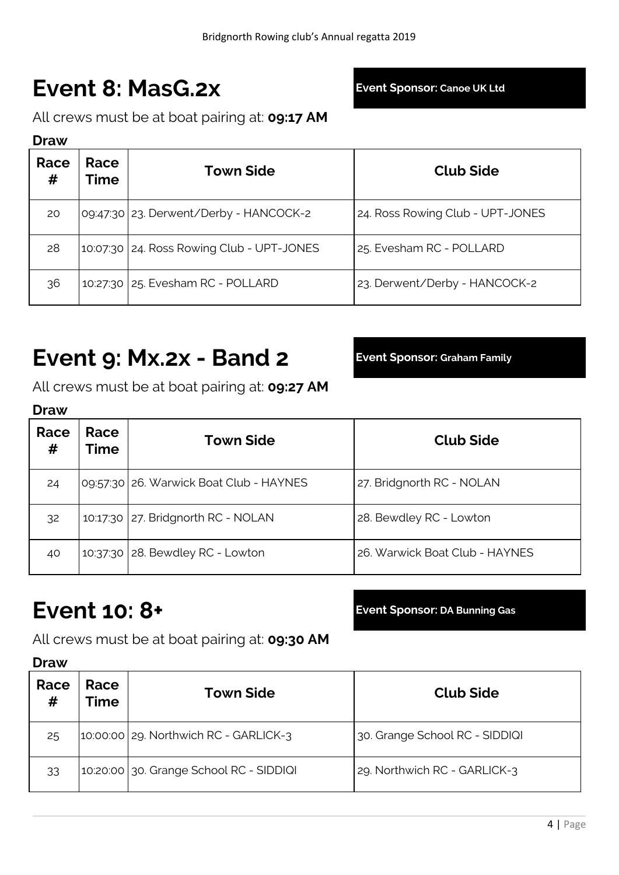# **Event 8: MasG.2x Event Sponsor: Canoe UK Ltd**

All crews must be at boat pairing at: **09:17 AM**

### **Draw**

| Race<br># | Race<br><b>Time</b> | <b>Town Side</b>                          | <b>Club Side</b>                 |
|-----------|---------------------|-------------------------------------------|----------------------------------|
| 20        |                     | 09:47:30   23. Derwent/Derby - HANCOCK-2  | 24. Ross Rowing Club - UPT-JONES |
| 28        |                     | 10:07:30 24. Ross Rowing Club - UPT-JONES | 25. Evesham RC - POLLARD         |
| 36        | 10:27:30            | 25. Evesham RC - POLLARD                  | 23. Derwent/Derby - HANCOCK-2    |

### **Event 9: Mx.2x - Band 2 Event Sponsor: Graham Family**

All crews must be at boat pairing at: **09:27 AM**

| <b>Draw</b> |                     |                                         |                                |
|-------------|---------------------|-----------------------------------------|--------------------------------|
| Race<br>#   | Race<br><b>Time</b> | <b>Town Side</b>                        | <b>Club Side</b>               |
| 24          |                     | 09:57:30 26. Warwick Boat Club - HAYNES | 27. Bridgnorth RC - NOLAN      |
| 32          |                     | 10:17:30 27. Bridgnorth RC - NOLAN      | 28. Bewdley RC - Lowton        |
| 40          |                     | 10:37:30 28. Bewdley RC - Lowton        | 26. Warwick Boat Club - HAYNES |

### **Event 10: 8+ Event Sponsor: DA Bunning Gas**

All crews must be at boat pairing at: **09:30 AM**

| Race<br># | Race<br><b>Time</b> | <b>Town Side</b>                        | <b>Club Side</b>               |
|-----------|---------------------|-----------------------------------------|--------------------------------|
| 25        |                     | 10:00:00 29. Northwich RC - GARLICK-3   | 30. Grange School RC - SIDDIQI |
| 33        |                     | 10:20:00 30. Grange School RC - SIDDIQI | 29. Northwich RC - GARLICK-3   |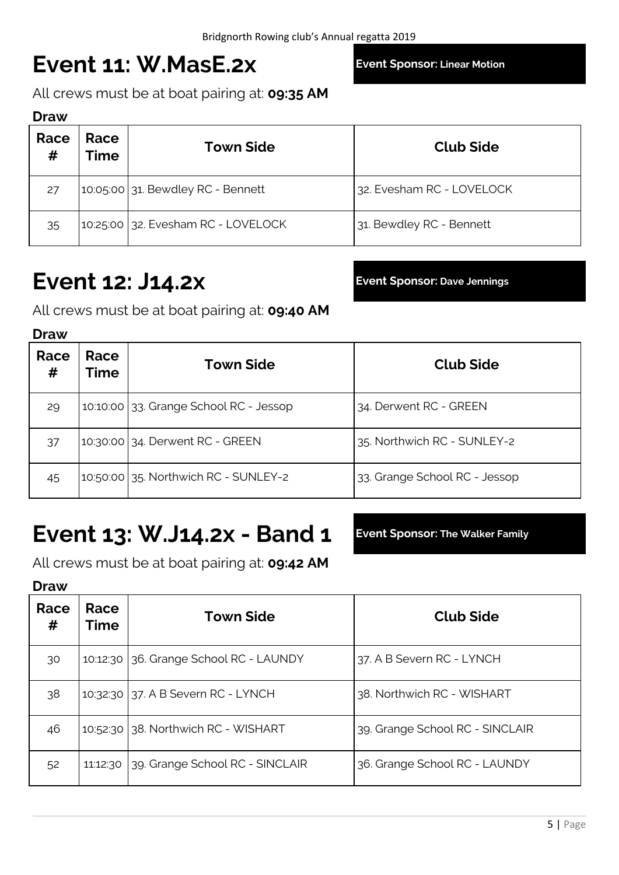# **Event 11: W.MasE.2x Event Sponsor: Linear Motion**

All crews must be at boat pairing at: **09:35 AM**

#### **Draw**

| Race<br># | Race<br><b>Time</b> | <b>Town Side</b>                   | <b>Club Side</b>          |
|-----------|---------------------|------------------------------------|---------------------------|
| 27        |                     | 10:05:00 31. Bewdley RC - Bennett  | 32. Evesham RC - LOVELOCK |
| 35        |                     | 10:25:00 32. Evesham RC - LOVELOCK | 31. Bewdley RC - Bennett  |

### **Event 12: J14.2x Event Sponsor: Dave Jennings**

All crews must be at boat pairing at: **09:40 AM**

#### **Draw**

| Race<br># | Race<br>Time | <b>Town Side</b>                       | <b>Club Side</b>              |
|-----------|--------------|----------------------------------------|-------------------------------|
| 29        |              | 10:10:00 33. Grange School RC - Jessop | 34. Derwent RC - GREEN        |
| 37        |              | 10:30:00 34. Derwent RC - GREEN        | 35. Northwich RC - SUNLEY-2   |
| 45        |              | 10:50:00 35. Northwich RC - SUNLEY-2   | 33. Grange School RC - Jessop |

### **Event 13: W.J14.2x - Band 1 Event Sponsor: The Walker Family**

All crews must be at boat pairing at: **09:42 AM**

| Race<br># | Race<br>Time | <b>Town Side</b>                   | <b>Club Side</b>                |
|-----------|--------------|------------------------------------|---------------------------------|
| 30        | 10:12:30     | 36. Grange School RC - LAUNDY      | 37. A B Severn RC - LYNCH       |
| 38        |              | 10:32:30 37. A B Severn RC - LYNCH | 38. Northwich RC - WISHART      |
| 46        | 10:52:30     | 38. Northwich RC - WISHART         | 39. Grange School RC - SINCLAIR |
| 52        | 11:12:30     | 39. Grange School RC - SINCLAIR    | 36. Grange School RC - LAUNDY   |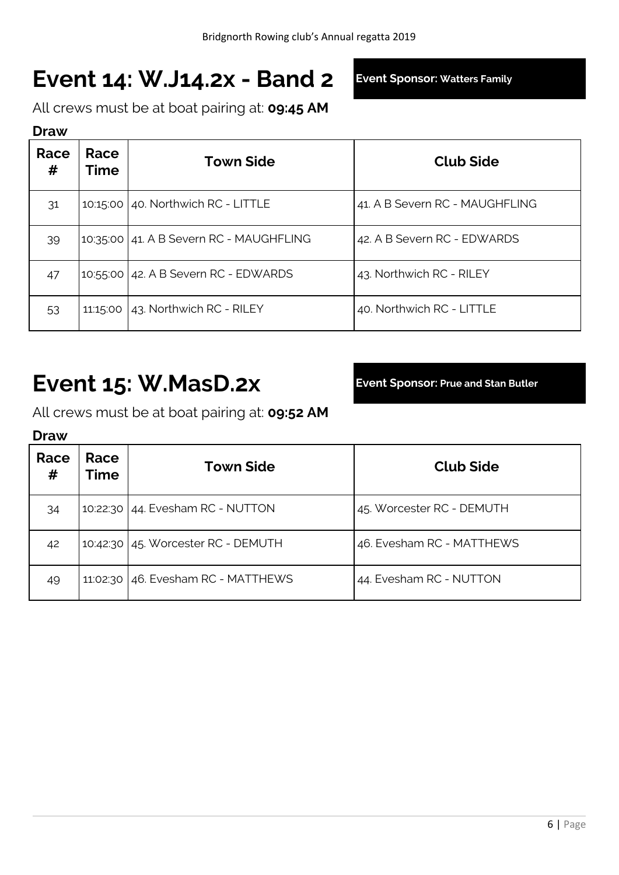# **Event 14: W.J14.2x - Band 2 Event Sponsor: Watters Family**

All crews must be at boat pairing at: **09:45 AM**

#### **Draw**

| Race<br># | Race<br><b>Time</b> | <b>Town Side</b>                           | <b>Club Side</b>               |
|-----------|---------------------|--------------------------------------------|--------------------------------|
| 31        |                     | 10:15:00 $\vert$ 40. Northwich RC - LITTLE | 41. A B Severn RC - MAUGHFLING |
| 39        |                     | 10:35:00 41. A B Severn RC - MAUGHFLING    | 42. A B Severn RC - EDWARDS    |
| 47        |                     | 10:55:00   42. A B Severn RC - EDWARDS     | 43. Northwich RC - RILEY       |
| 53        | 11:15:00            | 43. Northwich RC - RILEY                   | 40. Northwich RC - LITTLE      |

### **Event 15: W.MasD.2x Event Sponsor: Prue and Stan Butler**

All crews must be at boat pairing at: **09:52 AM**

| Race<br># | Race<br>Time | <b>Town Side</b>                   | <b>Club Side</b>          |
|-----------|--------------|------------------------------------|---------------------------|
| 34        |              | 10:22:30 44. Evesham RC - NUTTON   | 45. Worcester RC - DEMUTH |
| 42        |              | 10:42:30 45. Worcester RC - DEMUTH | 46. Evesham RC - MATTHEWS |
| 49        |              | 11:02:30 46. Evesham RC - MATTHEWS | 44. Evesham RC - NUTTON   |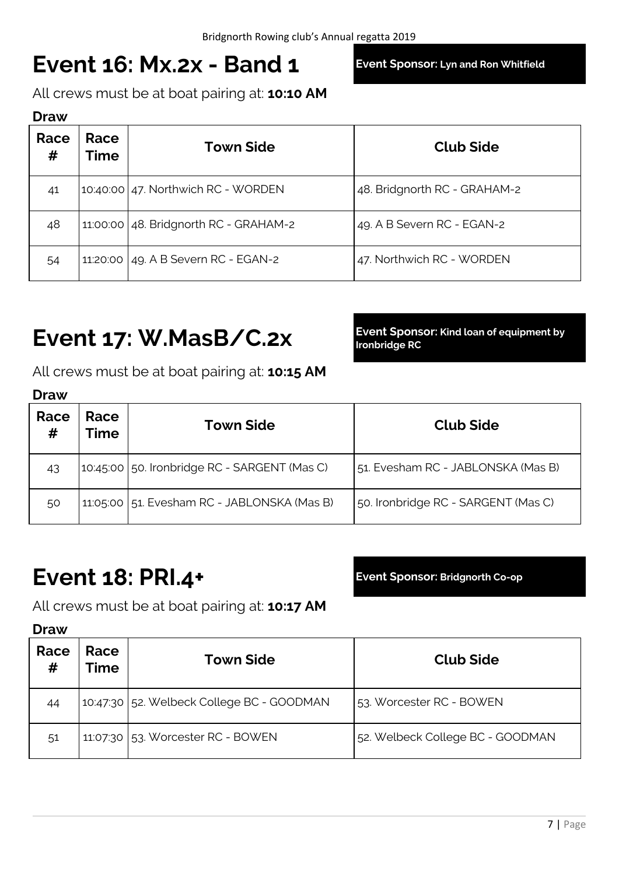### **Event 16: Mx.2x - Band 1 Event Sponsor: Lyn and Ron Whitfield**

All crews must be at boat pairing at: **10:10 AM**

#### **Draw**

| Race<br># | Race<br><b>Time</b> | <b>Town Side</b>                        | <b>Club Side</b>             |
|-----------|---------------------|-----------------------------------------|------------------------------|
| 41        |                     | $10:40:00$   47. Northwich RC - WORDEN  | 48. Bridgnorth RC - GRAHAM-2 |
| 48        |                     | $11:00:00$ 48. Bridgnorth RC - GRAHAM-2 | 49. A B Severn RC - EGAN-2   |
| 54        |                     | 11:20:00 49. A B Severn RC - EGAN-2     | 47. Northwich RC - WORDEN    |

### **Event 17: W.MasB/C.2x**

**Event Sponsor: Kind loan of equipment by Ironbridge RC**

All crews must be at boat pairing at: **10:15 AM**

#### **Draw**

| Race<br># | Race<br><b>Time</b> | <b>Town Side</b>                             | <b>Club Side</b>                    |
|-----------|---------------------|----------------------------------------------|-------------------------------------|
| 43        |                     | 10:45:00 50. Ironbridge RC - SARGENT (Mas C) | 51. Evesham RC - JABLONSKA (Mas B)  |
| 50        |                     | 11:05:00 51. Evesham RC - JABLONSKA (Mas B)  | 50. Ironbridge RC - SARGENT (Mas C) |

### **Event 18: PRI.4+ Event Sponsor: Bridgnorth Co-op**

All crews must be at boat pairing at: **10:17 AM**

| Race<br># | Race<br>Time | <b>Town Side</b>                          | <b>Club Side</b>                 |
|-----------|--------------|-------------------------------------------|----------------------------------|
| 44        |              | 10:47:30 52. Welbeck College BC - GOODMAN | 53. Worcester RC - BOWEN         |
| 51        |              | 11:07:30 53. Worcester RC - BOWEN         | 52. Welbeck College BC - GOODMAN |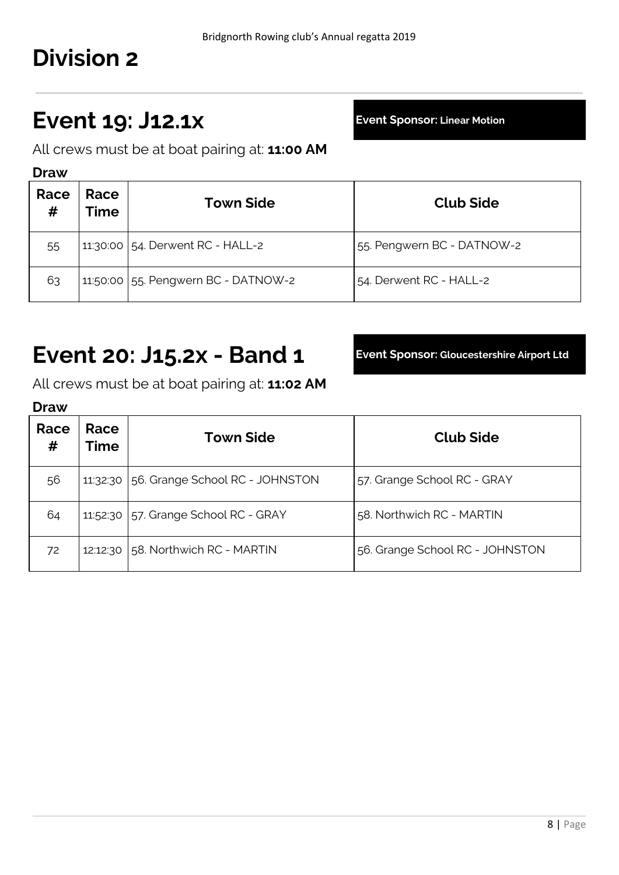# **Division 2**

### **Event 19: J12.1x Event Sponsor: Linear Motion**

All crews must be at boat pairing at: **11:00 AM**

#### **Draw**

| Race<br># | Race<br>Time | <b>Town Side</b>                    | <b>Club Side</b>           |
|-----------|--------------|-------------------------------------|----------------------------|
| 55        |              | 11:30:00 54. Derwent RC - HALL-2    | 55. Pengwern BC - DATNOW-2 |
| 63        |              | 11:50:00 55. Pengwern BC - DATNOW-2 | 54. Derwent RC - HALL-2    |

### **Event 20: J15.2x - Band 1 Event Sponsor: Gloucestershire Airport Ltd**

All crews must be at boat pairing at: **11:02 AM**

| Race<br># | Race<br>Time | <b>Town Side</b>                         | <b>Club Side</b>                |
|-----------|--------------|------------------------------------------|---------------------------------|
| 56        |              | 11:32:30 56. Grange School RC - JOHNSTON | 57. Grange School RC - GRAY     |
| 64        |              | 11:52:30 57. Grange School RC - GRAY     | 58. Northwich RC - MARTIN       |
| 72        | 12:12:30     | 58. Northwich RC - MARTIN                | 56. Grange School RC - JOHNSTON |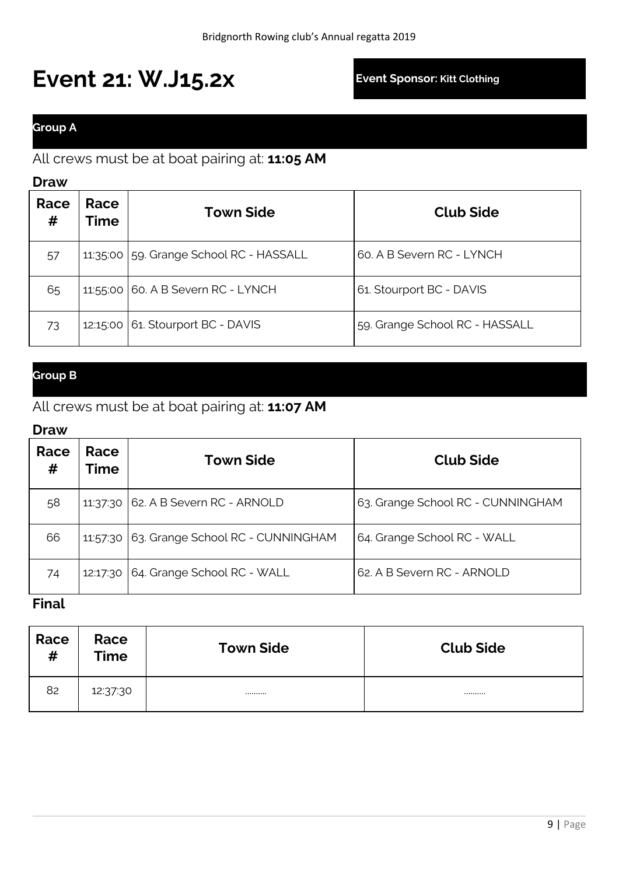# **Event 21: W.J15.2x Event Sponsor: Kitt Clothing**

### **Group A**

### All crews must be at boat pairing at: **11:05 AM**

#### **Draw**

| Race<br># | Race<br><b>Time</b> | <b>Town Side</b>               | <b>Club Side</b>               |
|-----------|---------------------|--------------------------------|--------------------------------|
| 57        | 11:35:00            | 59. Grange School RC - HASSALL | 60. A B Severn RC - LYNCH      |
| 65        | 11:55:00            | 60. A B Severn RC - LYNCH      | 61. Stourport BC - DAVIS       |
| 73        | 12:15:00            | 61. Stourport BC - DAVIS       | 59. Grange School RC - HASSALL |

### **Group B**

### All crews must be at boat pairing at: **11:07 AM**

#### **Draw**

| Race<br># | Race<br>Time | <b>Town Side</b>                           | <b>Club Side</b>                  |
|-----------|--------------|--------------------------------------------|-----------------------------------|
| 58        | 11:37:30     | 62. A B Severn RC - ARNOLD                 | 63. Grange School RC - CUNNINGHAM |
| 66        |              | 11:57:30 63. Grange School RC - CUNNINGHAM | 64. Grange School RC - WALL       |
| 74        | 12:17:30     | 64. Grange School RC - WALL                | 62. A B Severn RC - ARNOLD        |

#### **Final**

| Race<br># | Race<br><b>Time</b> | <b>Town Side</b> | <b>Club Side</b> |
|-----------|---------------------|------------------|------------------|
| 82        | 12:37:30            |                  |                  |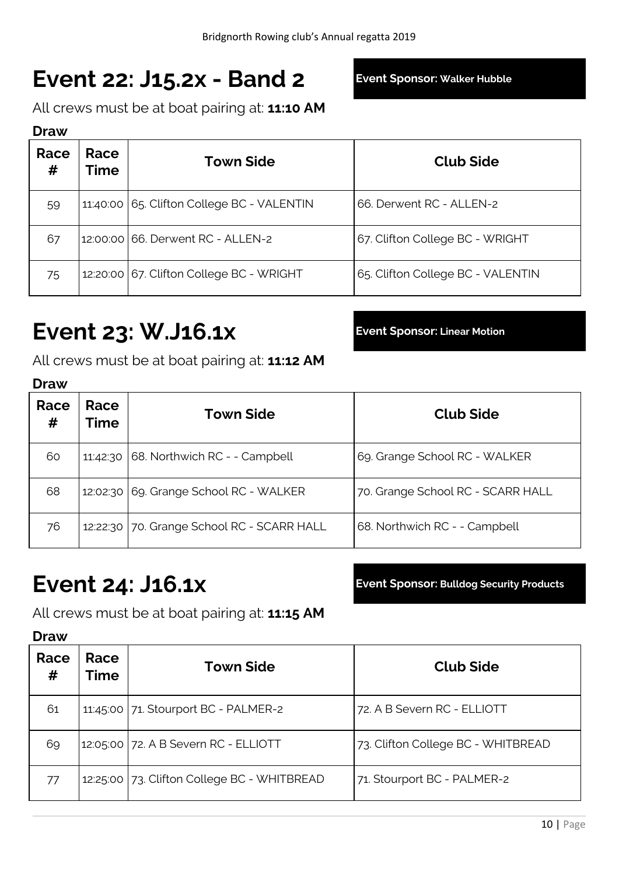# **Event 22: J15.2x - Band 2 Event Sponsor: Walker Hubble**

All crews must be at boat pairing at: **11:10 AM**

#### **Draw**

| Race<br># | Race<br><b>Time</b> | <b>Town Side</b>                         | <b>Club Side</b>                  |
|-----------|---------------------|------------------------------------------|-----------------------------------|
| 59        | 11:40:00            | 65. Clifton College BC - VALENTIN        | 66. Derwent RC - ALLEN-2          |
| 67        |                     | 12:00:00 66. Derwent RC - ALLEN-2        | 67. Clifton College BC - WRIGHT   |
| 75        |                     | 12:20:00 67. Clifton College BC - WRIGHT | 65. Clifton College BC - VALENTIN |

### **Event 23: W.J16.1x Event Sponsor: Linear Motion**

All crews must be at boat pairing at: **11:12 AM**

#### **Draw**

| Race<br># | Race<br>Time | <b>Town Side</b>                           | <b>Club Side</b>                  |
|-----------|--------------|--------------------------------------------|-----------------------------------|
| 60        | 11:42:30     | 68. Northwich RC - - Campbell              | 69. Grange School RC - WALKER     |
| 68        |              | 12:02:30 69. Grange School RC - WALKER     | 70. Grange School RC - SCARR HALL |
| 76        |              | 12:22:30 70. Grange School RC - SCARR HALL | 68. Northwich RC - - Campbell     |

### **Event 24: J16.1x Event Sponsor: Bulldog Security Products**

All crews must be at boat pairing at: **11:15 AM**

| Race<br># | Race<br><b>Time</b> | <b>Town Side</b>                            | <b>Club Side</b>                   |
|-----------|---------------------|---------------------------------------------|------------------------------------|
| 61        |                     | 11:45:00 71. Stourport BC - PALMER-2        | 72. A B Severn RC - ELLIOTT        |
| 69        |                     | 12:05:00 72. A B Severn RC - ELLIOTT        | 73. Clifton College BC - WHITBREAD |
| 77        |                     | 12:25:00 73. Clifton College BC - WHITBREAD | 71. Stourport BC - PALMER-2        |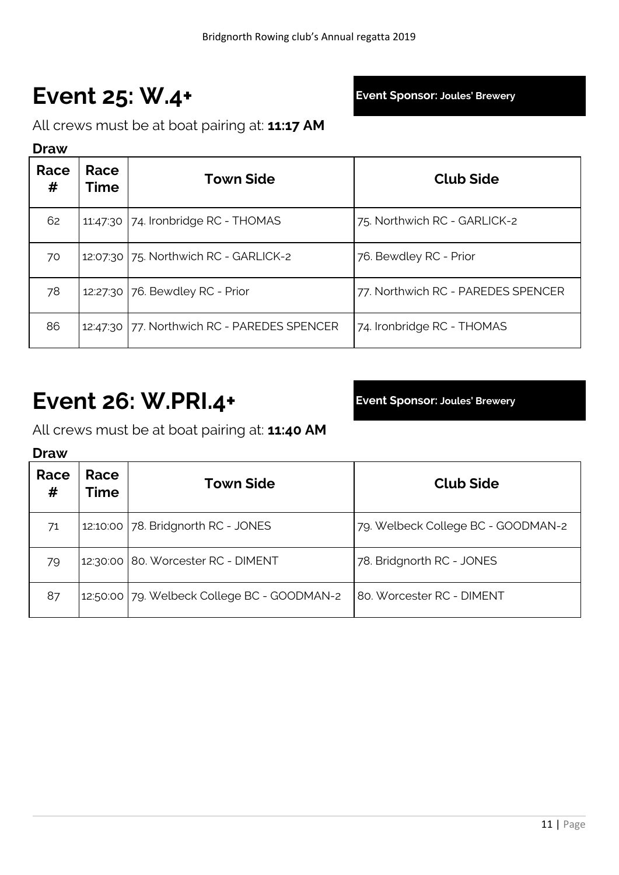# **Event 25: W.4+ Event Sponsor: Joules' Brewery**

All crews must be at boat pairing at: **11:17 AM**

#### **Draw**

| Race<br># | Race<br>Time | <b>Town Side</b>                            | <b>Club Side</b>                   |
|-----------|--------------|---------------------------------------------|------------------------------------|
| 62        |              | 11:47:30 74. Ironbridge RC - THOMAS         | 75. Northwich RC - GARLICK-2       |
| 70        |              | 12:07:30 75. Northwich RC - GARLICK-2       | 76. Bewdley RC - Prior             |
| 78        |              | 12:27:30 76. Bewdley RC - Prior             | 77. Northwich RC - PAREDES SPENCER |
| 86        |              | 12:47:30 77. Northwich RC - PAREDES SPENCER | 74. Ironbridge RC - THOMAS         |

### **Event 26: W.PRI.4+ Event Sponsor: Joules' Brewery**

All crews must be at boat pairing at: **11:40 AM**

| Race<br># | Race<br><b>Time</b> | <b>Town Side</b>                            | <b>Club Side</b>                   |
|-----------|---------------------|---------------------------------------------|------------------------------------|
| 71        |                     | 12:10:00 78. Bridgnorth RC - JONES          | 79. Welbeck College BC - GOODMAN-2 |
| 79        | 12:30:00            | 80. Worcester RC - DIMENT                   | 78. Bridgnorth RC - JONES          |
| 87        |                     | 12:50:00 79. Welbeck College BC - GOODMAN-2 | 80. Worcester RC - DIMENT          |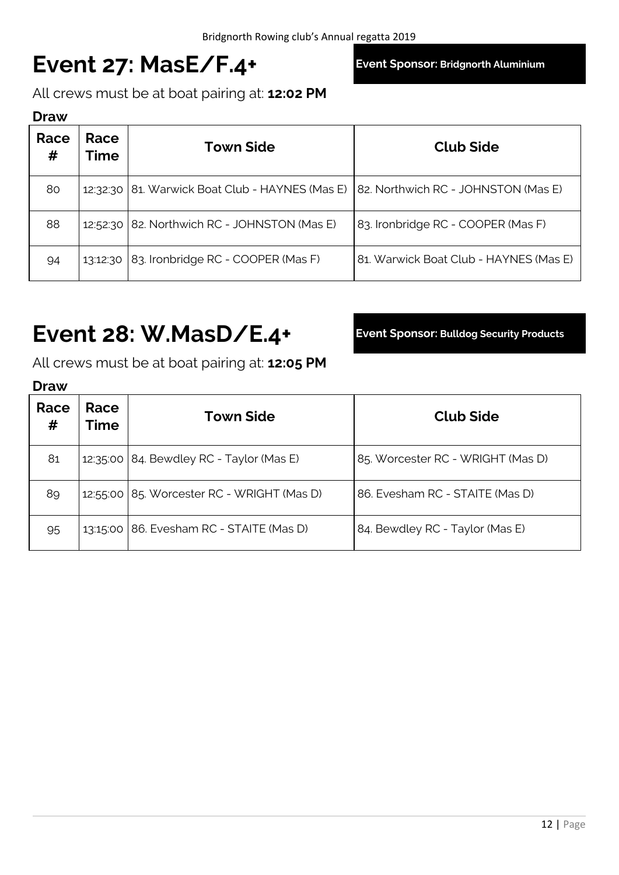# **Event 27: MasE/F.4+ Event Sponsor: Bridgnorth Aluminium**

All crews must be at boat pairing at: **12:02 PM**

#### **Draw**

| Race<br># | Race<br><b>Time</b> | <b>Town Side</b>                             | <b>Club Side</b>                       |
|-----------|---------------------|----------------------------------------------|----------------------------------------|
| 80        | 12:32:30            | 81. Warwick Boat Club - HAYNES (Mas E)       | 82. Northwich RC - JOHNSTON (Mas E)    |
| 88        |                     | 12:52:30 82. Northwich RC - JOHNSTON (Mas E) | 83. Ironbridge RC - COOPER (Mas F)     |
| 94        | 13:12:30            | 83. Ironbridge RC - COOPER (Mas F)           | 81. Warwick Boat Club - HAYNES (Mas E) |

### **Event 28: W.MasD/E.4+ Event Sponsor: Bulldog Security Products**

All crews must be at boat pairing at: **12:05 PM**

| Race<br># | Race<br>Time | <b>Town Side</b>                  | <b>Club Side</b>                  |
|-----------|--------------|-----------------------------------|-----------------------------------|
| 81        | 12:35:00     | 84. Bewdley RC - Taylor (Mas E)   | 85. Worcester RC - WRIGHT (Mas D) |
| 89        | 12:55:00     | 85. Worcester RC - WRIGHT (Mas D) | 86. Evesham RC - STAITE (Mas D)   |
| 95        | 13:15:00     | 86. Evesham RC - STAITE (Mas D)   | 84. Bewdley RC - Taylor (Mas E)   |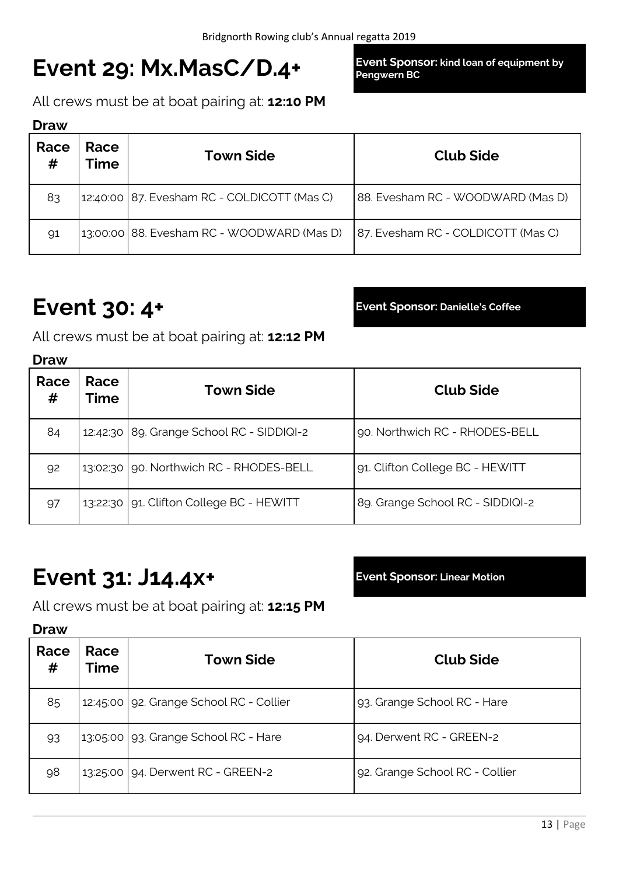# **Event 29: Mx.MasC/D.4+**

**Event Sponsor: kind loan of equipment by Pengwern BC**

All crews must be at boat pairing at: **12:10 PM**

#### **Draw**

| Race<br># | Race<br>Time | <b>Town Side</b>                              | <b>Club Side</b>                   |
|-----------|--------------|-----------------------------------------------|------------------------------------|
| 83        |              | 12:40:00   87. Evesham RC - COLDICOTT (Mas C) | 188. Evesham RC - WOODWARD (Mas D) |
| 91        |              | 13:00:00 88. Evesham RC - WOODWARD (Mas D)    | 87. Evesham RC - COLDICOTT (Mas C) |

### **Event 30: 4+ Event Sponsor: Danielle's Coffee**

All crews must be at boat pairing at: **12:12 PM**

#### **Draw**

| Race<br># | Race<br>Time | <b>Town Side</b>                          | <b>Club Side</b>                 |
|-----------|--------------|-------------------------------------------|----------------------------------|
| 84        |              | 12:42:30 89. Grange School RC - SIDDIQI-2 | 90. Northwich RC - RHODES-BELL   |
| 92        |              | 13:02:30   90. Northwich RC - RHODES-BELL | 91. Clifton College BC - HEWITT  |
| 97        | 13:22:30     | 91. Clifton College BC - HEWITT           | 89. Grange School RC - SIDDIQI-2 |

### **Event 31: J14.4x+ Event Sponsor: Linear Motion**

All crews must be at boat pairing at: **12:15 PM**

| Race<br># | Race<br><b>Time</b> | <b>Town Side</b>                        | <b>Club Side</b>               |
|-----------|---------------------|-----------------------------------------|--------------------------------|
| 85        |                     | 12:45:00 92. Grange School RC - Collier | 93. Grange School RC - Hare    |
| 93        |                     | 13:05:00   93. Grange School RC - Hare  | 94. Derwent RC - GREEN-2       |
| 98        | 13:25:00            | 94. Derwent RC - GREEN-2                | 92. Grange School RC - Collier |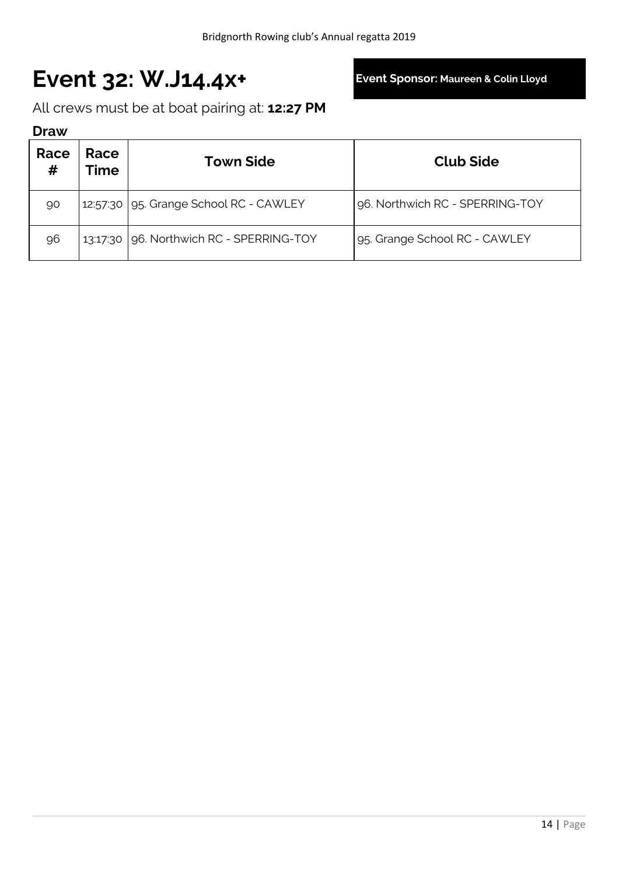### **Event 32: W.J14.4x+ Event Sponsor: Maureen & Colin Lloyd**

All crews must be at boat pairing at: **12:27 PM**

| Race<br># | Race<br><b>Time</b> | <b>Town Side</b>                       | <b>Club Side</b>                |
|-----------|---------------------|----------------------------------------|---------------------------------|
| 90        |                     | 12:57:30 95. Grange School RC - CAWLEY | 96. Northwich RC - SPERRING-TOY |
| 96        | 13:17:30            | 96. Northwich RC - SPERRING-TOY        | 95. Grange School RC - CAWLEY   |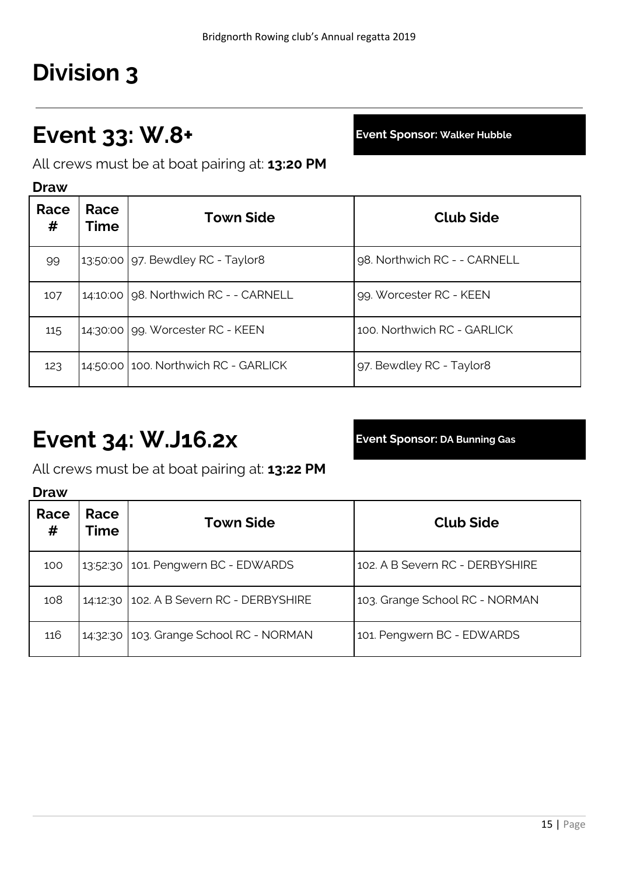# **Division 3**

### **Event 33: W.8+ Event Sponsor: Walker Hubble**

All crews must be at boat pairing at: **13:20 PM**

**Draw**

| Race<br># | Race<br><b>Time</b> | <b>Town Side</b>                      | <b>Club Side</b>             |
|-----------|---------------------|---------------------------------------|------------------------------|
| 99        |                     | $13:50:00$   97. Bewdley RC - Taylor8 | 98. Northwich RC - - CARNELL |
| 107       |                     | 14:10:00 98. Northwich RC - - CARNELL | 99. Worcester RC - KEEN      |
| 115       |                     | 14:30:00   99. Worcester RC - KEEN    | 100. Northwich RC - GARLICK  |
| 123       |                     | 14:50:00 100. Northwich RC - GARLICK  | 97. Bewdley RC - Taylor8     |

# **Event 34: W.J16.2x Event Sponsor: DA Bunning Gas**

All crews must be at boat pairing at: **13:22 PM**

| Race<br># | Race<br>Time | <b>Town Side</b>                         | <b>Club Side</b>                |
|-----------|--------------|------------------------------------------|---------------------------------|
| 100       | 13:52:30     | 101. Pengwern BC - EDWARDS               | 102. A B Severn RC - DERBYSHIRE |
| 108       |              | 14:12:30 102. A B Severn RC - DERBYSHIRE | 103. Grange School RC - NORMAN  |
| 116       | 14:32:30     | 103. Grange School RC - NORMAN           | 101. Pengwern BC - EDWARDS      |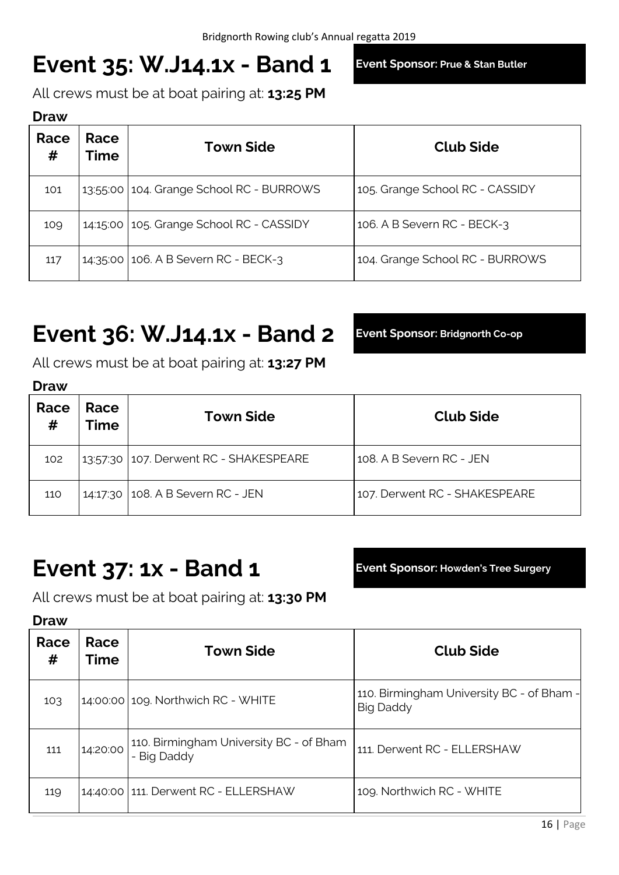# **Event 35: W.J14.1x - Band 1 Event Sponsor: Prue & Stan Butler**

All crews must be at boat pairing at: **13:25 PM**

#### **Draw**

| Race<br># | Race<br><b>Time</b> | <b>Town Side</b>                         | <b>Club Side</b>                |
|-----------|---------------------|------------------------------------------|---------------------------------|
| 101       |                     | 13:55:00 104. Grange School RC - BURROWS | 105. Grange School RC - CASSIDY |
| 109       |                     | 14:15:00 105. Grange School RC - CASSIDY | 106. A B Severn RC - BECK-3     |
| 117       |                     | 14:35:00 106. A B Severn RC - BECK-3     | 104. Grange School RC - BURROWS |

### **Event 36: W.J14.1x - Band 2 Event Sponsor: Bridgnorth Co-op**

All crews must be at boat pairing at: **13:27 PM**

#### **Draw**

| ----      |              |                                     |                               |
|-----------|--------------|-------------------------------------|-------------------------------|
| Race<br># | Race<br>Time | <b>Town Side</b>                    | <b>Club Side</b>              |
| 102       | 13:57:30     | 107. Derwent RC - SHAKESPEARE       | 108. A B Severn RC - JEN      |
| 110       |              | 14:17:30   108. A B Severn RC - JEN | 107. Derwent RC - SHAKESPEARE |

### **Event 37: 1x - Band 1 Event Sponsor: Howden's Tree Surgery**

All crews must be at boat pairing at: **13:30 PM**

| Race<br># | Race<br><b>Time</b> | <b>Town Side</b>                                       | <b>Club Side</b>                                              |
|-----------|---------------------|--------------------------------------------------------|---------------------------------------------------------------|
| 103       |                     | 14:00:00 109. Northwich RC - WHITE                     | 110. Birmingham University BC - of Bham -<br><b>Big Daddy</b> |
| 111       | 14:20:00            | 110. Birmingham University BC - of Bham<br>- Big Daddy | 111. Derwent RC - ELLERSHAW                                   |
| 119       |                     | 14:40:00 111. Derwent RC - ELLERSHAW                   | 109. Northwich RC - WHITE                                     |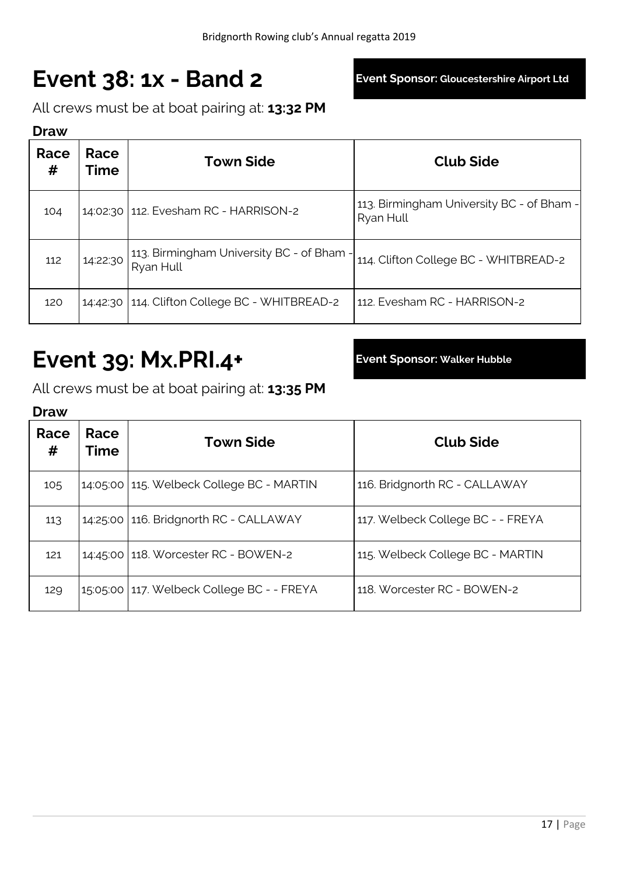### **Event 38: 1x - Band 2 Event Sponsor: Gloucestershire Airport Ltd**

All crews must be at boat pairing at: **13:32 PM**

#### **Draw**

| Race<br># | Race<br>Time | <b>Town Side</b>                                          | <b>Club Side</b>                                       |
|-----------|--------------|-----------------------------------------------------------|--------------------------------------------------------|
| 104       |              | 14:02:30 112. Evesham RC - HARRISON-2                     | 113. Birmingham University BC - of Bham -<br>Ryan Hull |
| 112       | 14:22:30     | 1113. Birmingham University BC - of Bham - I<br>Ryan Hull | 114. Clifton College BC - WHITBREAD-2                  |
| 120       | 14:42:30     | 114. Clifton College BC - WHITBREAD-2                     | 112. Evesham RC - HARRISON-2                           |

### **Event 39: Mx.PRI.4+ Event Sponsor: Walker Hubble**

All crews must be at boat pairing at: **13:35 PM**

| Race<br># | Race<br>Time | <b>Town Side</b>                           | <b>Club Side</b>                  |
|-----------|--------------|--------------------------------------------|-----------------------------------|
| 105       |              | 14:05:00 115. Welbeck College BC - MARTIN  | 116. Bridgnorth RC - CALLAWAY     |
| 113       | 14:25:00     | 116. Bridgnorth RC - CALLAWAY              | 117. Welbeck College BC - - FREYA |
| 121       | 14:45:00     | 118. Worcester RC - BOWEN-2                | 115. Welbeck College BC - MARTIN  |
| 129       |              | 15:05:00 117. Welbeck College BC - - FREYA | 118. Worcester RC - BOWEN-2       |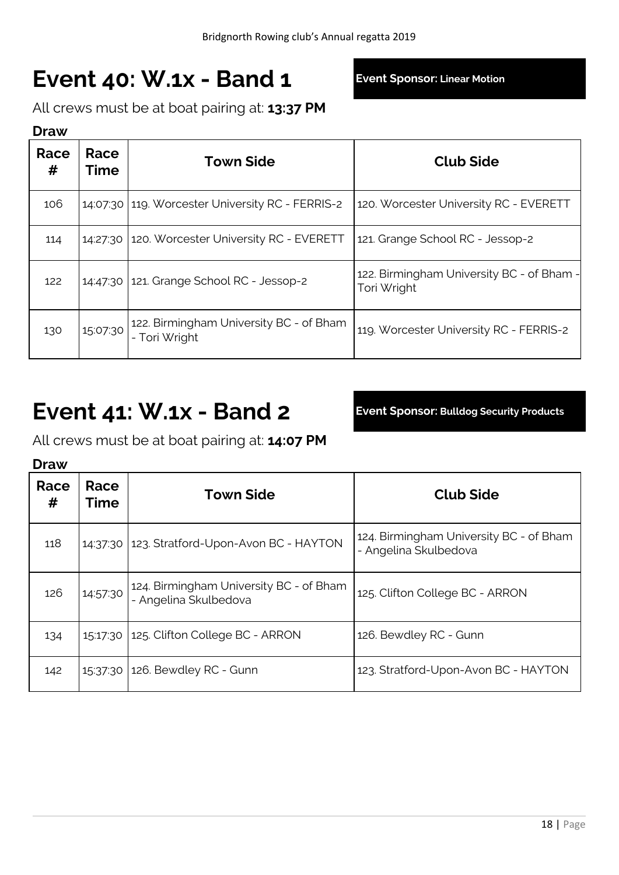# **Event 40: W.1x - Band 1 Event Sponsor: Linear Motion**

All crews must be at boat pairing at: **13:37 PM**

#### **Draw**

| Race<br># | Race<br><b>Time</b> | <b>Town Side</b>                                         | <b>Club Side</b>                                         |
|-----------|---------------------|----------------------------------------------------------|----------------------------------------------------------|
| 106       |                     | 14:07:30   119. Worcester University RC - FERRIS-2       | 120. Worcester University RC - EVERETT                   |
| 114       | 14:27:30            | 120. Worcester University RC - EVERETT                   | 121. Grange School RC - Jessop-2                         |
| 122       |                     | 14:47:30 121. Grange School RC - Jessop-2                | 122. Birmingham University BC - of Bham -<br>Tori Wright |
| 130       | 15:07:30            | 122. Birmingham University BC - of Bham<br>- Tori Wright | 119. Worcester University RC - FERRIS-2                  |

### **Event 41: W.1x - Band 2 Event Sponsor: Bulldog Security Products**

All crews must be at boat pairing at: **14:07 PM**

| <b>Draw</b> |                     |                                                                           |                                                                  |
|-------------|---------------------|---------------------------------------------------------------------------|------------------------------------------------------------------|
| Race<br>#   | Race<br><b>Time</b> | <b>Town Side</b>                                                          | <b>Club Side</b>                                                 |
| 118         |                     | 14:37:30 123. Stratford-Upon-Avon BC - HAYTON                             | 124. Birmingham University BC - of Bham<br>- Angelina Skulbedova |
| 126         |                     | 14:57:30 124. Birmingham University BC - of Bham<br>- Angelina Skulbedova | 125. Clifton College BC - ARRON                                  |
| 134         | 15:17:30            | 125. Clifton College BC - ARRON                                           | 126. Bewdley RC - Gunn                                           |
| 142         |                     | 15:37:30   126. Bewdley RC - Gunn                                         | 123. Stratford-Upon-Avon BC - HAYTON                             |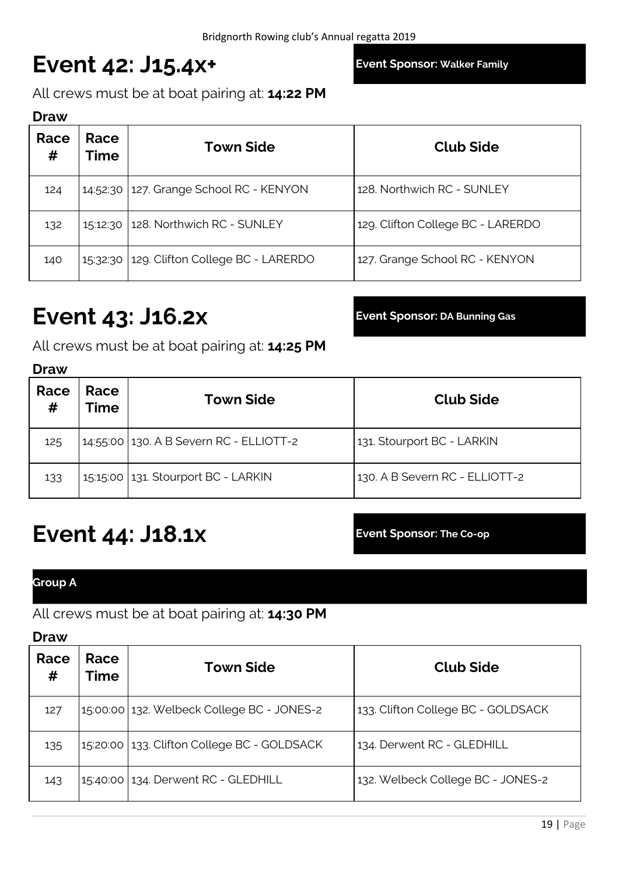# **Event 42: J15.4x+ Event Sponsor: Walker Family**

All crews must be at boat pairing at: **14:22 PM**

#### **Draw**

| Race<br># | Race<br><b>Time</b> | <b>Town Side</b>                    | <b>Club Side</b>                  |
|-----------|---------------------|-------------------------------------|-----------------------------------|
| 124       | 14:52:30            | 127. Grange School RC - KENYON      | 128. Northwich RC - SUNLEY        |
| 132       |                     | 15:12:30 128. Northwich RC - SUNLEY | 129. Clifton College BC - LARERDO |
| 140       | 15:32:30            | 129. Clifton College BC - LARERDO   | 127. Grange School RC - KENYON    |

### **Event 43: J16.2x Event Sponsor: DA Bunning Gas**

All crews must be at boat pairing at: **14:25 PM**

#### **Draw**

| Race<br># | Race<br>Time | <b>Town Side</b>                        | <b>Club Side</b>               |
|-----------|--------------|-----------------------------------------|--------------------------------|
| 125       |              | 14:55:00 130. A B Severn RC - ELLIOTT-2 | 131. Stourport BC - LARKIN     |
| 133       |              | 15:15:00 131. Stourport BC - LARKIN     | 130. A B Severn RC - ELLIOTT-2 |

### **Event 44: J18.1x Event Sponsor: The Co-op**

### **Group A**

All crews must be at boat pairing at: **14:30 PM**

| Race<br># | Race<br><b>Time</b> | <b>Town Side</b>                            | <b>Club Side</b>                   |
|-----------|---------------------|---------------------------------------------|------------------------------------|
| 127       |                     | 15:00:00 132. Welbeck College BC - JONES-2  | 133. Clifton College BC - GOLDSACK |
| 135       |                     | 15:20:00 133. Clifton College BC - GOLDSACK | 134. Derwent RC - GLEDHILL         |
| 143       |                     | 15:40:00 134. Derwent RC - GLEDHILL         | 132. Welbeck College BC - JONES-2  |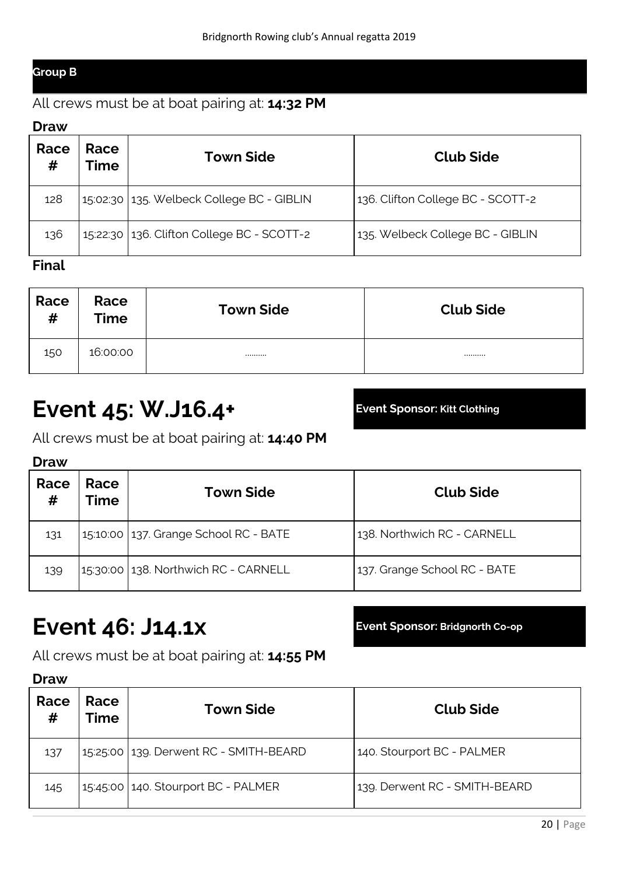### **Group B**

#### All crews must be at boat pairing at: **14:32 PM**

#### **Draw**

| Race<br># | Race<br>Time | <b>Town Side</b>                             | <b>Club Side</b>                  |
|-----------|--------------|----------------------------------------------|-----------------------------------|
| 128       |              | 15:02:30 135. Welbeck College BC - GIBLIN    | 136. Clifton College BC - SCOTT-2 |
| 136       |              | 15:22:30   136. Clifton College BC - SCOTT-2 | 135. Welbeck College BC - GIBLIN  |
|           |              |                                              |                                   |

#### **Final**

| Race<br># | Race<br>Time | <b>Town Side</b> | <b>Club Side</b> |
|-----------|--------------|------------------|------------------|
| 150       | 16:00:00     |                  |                  |

### **Event 45: W.J16.4+ Event Sponsor: Kitt Clothing**

All crews must be at boat pairing at: **14:40 PM**

#### **Draw**

| Race<br># | Race<br>Time | <b>Town Side</b>                        | <b>Club Side</b>             |
|-----------|--------------|-----------------------------------------|------------------------------|
| 131       |              | 15:10:00   137. Grange School RC - BATE | 138. Northwich RC - CARNELL  |
| 139       |              | 15:30:00   138. Northwich RC - CARNELL  | 137. Grange School RC - BATE |

### **Event 46: J14.1x Event Sponsor: Bridgnorth Co-op**

All crews must be at boat pairing at: **14:55 PM**

| Race<br># | Race<br>Time | Town Side                              | <b>Club Side</b>              |
|-----------|--------------|----------------------------------------|-------------------------------|
| 137       |              | 15:25:00 139. Derwent RC - SMITH-BEARD | 140. Stourport BC - PALMER    |
| 145       |              | 15:45:00   140. Stourport BC - PALMER  | 139. Derwent RC - SMITH-BEARD |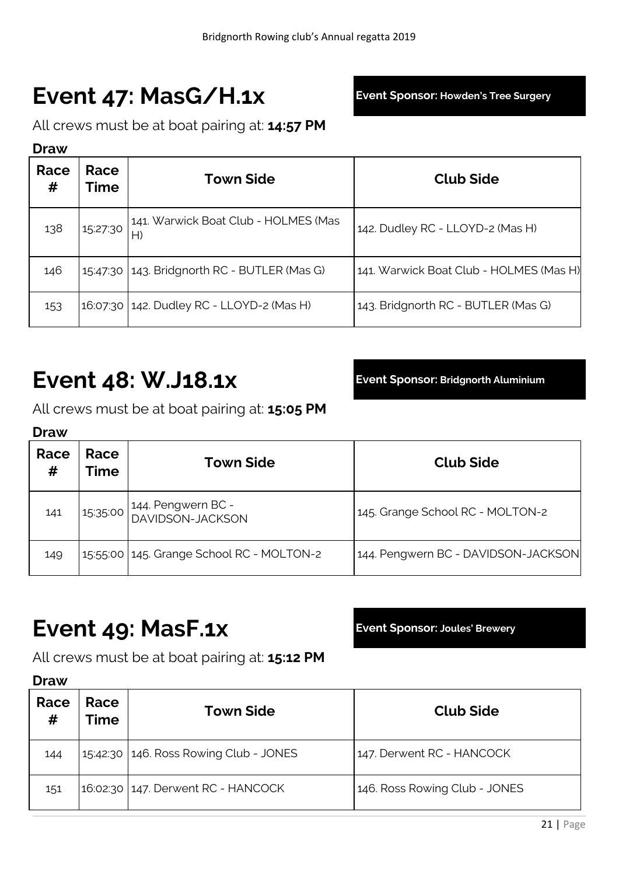# **Event 47: MasG/H.1x Event Sponsor: Howden's Tree Surgery**

All crews must be at boat pairing at: **14:57 PM**

#### **Draw**

| Race<br># | Race<br>Time | <b>Town Side</b>                           | <b>Club Side</b>                        |
|-----------|--------------|--------------------------------------------|-----------------------------------------|
| 138       | 15:27:30     | 141. Warwick Boat Club - HOLMES (Mas<br>H) | 142. Dudley RC - LLOYD-2 (Mas H)        |
| 146       | 15:47:30     | 143. Bridgnorth RC - BUTLER (Mas G)        | 141. Warwick Boat Club - HOLMES (Mas H) |
| 153       |              | 16:07:30 142. Dudley RC - LLOYD-2 (Mas H)  | 143. Bridgnorth RC - BUTLER (Mas G)     |

### **Event 48: W.J18.1x Event Sponsor: Bridgnorth Aluminium**

All crews must be at boat pairing at: **15:05 PM**

### **Draw**

| Race<br># | Race<br>Time | <b>Town Side</b>                       | <b>Club Side</b>                    |
|-----------|--------------|----------------------------------------|-------------------------------------|
| 141       | 15:35:00     | 144. Pengwern BC -<br>DAVIDSON-JACKSON | 145. Grange School RC - MOLTON-2    |
| 149       | 15:55:00     | 145. Grange School RC - MOLTON-2       | 144. Pengwern BC - DAVIDSON-JACKSON |

### **Event 49: MasF.1x Event Sponsor: Joules' Brewery**

All crews must be at boat pairing at: **15:12 PM**

| Race<br># | Race<br>Time | <b>Town Side</b>                       | <b>Club Side</b>              |
|-----------|--------------|----------------------------------------|-------------------------------|
| 144       |              | 15:42:30 146. Ross Rowing Club - JONES | 147. Derwent RC - HANCOCK     |
| 151       |              | 16:02:30 147. Derwent RC - HANCOCK     | 146. Ross Rowing Club - JONES |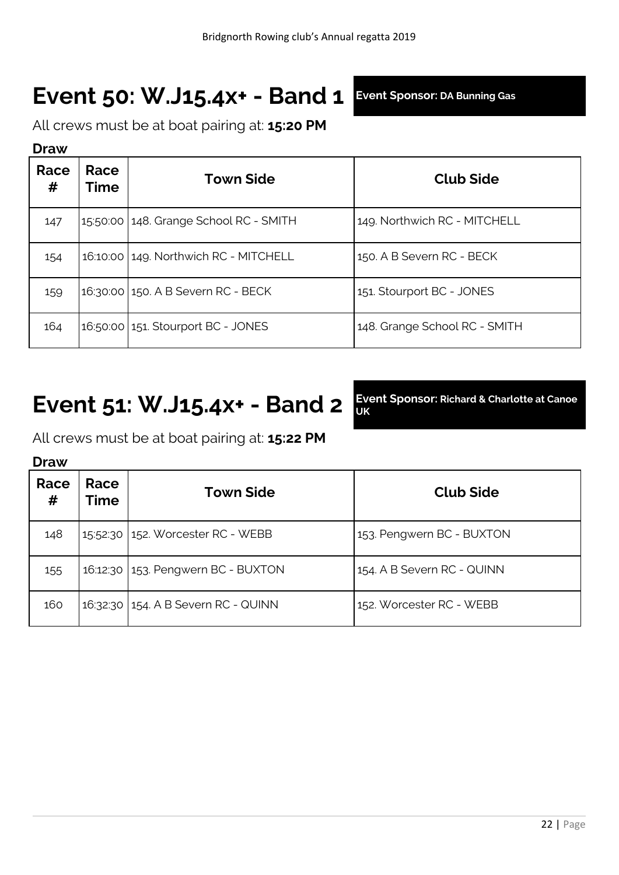# **Event 50: W.J15.4x+ - Band 1 Event Sponsor: DA Bunning Gas**

All crews must be at boat pairing at: **15:20 PM**

#### **Draw**

| Race<br># | Race<br><b>Time</b> | <b>Town Side</b>                         | <b>Club Side</b>              |
|-----------|---------------------|------------------------------------------|-------------------------------|
| 147       |                     | 15:50:00   148. Grange School RC - SMITH | 149. Northwich RC - MITCHELL  |
| 154       |                     | 16:10:00 149. Northwich RC - MITCHELL    | 150. A B Severn RC - BECK     |
| 159       |                     | 16:30:00 150. A B Severn RC - BECK       | 151. Stourport BC - JONES     |
| 164       |                     | 16:50:00 151. Stourport BC - JONES       | 148. Grange School RC - SMITH |

# **Event 51: W.J15.4x+ - Band 2**

**Event Sponsor: Richard & Charlotte at Canoe**

All crews must be at boat pairing at: **15:22 PM**

**Draw**

| Race<br># | Race<br>Time | <b>Town Side</b>                    | <b>Club Side</b>           |
|-----------|--------------|-------------------------------------|----------------------------|
| 148       |              | 15:52:30 152. Worcester RC - WEBB   | 153. Pengwern BC - BUXTON  |
| 155       |              | 16:12:30 153. Pengwern BC - BUXTON  | 154. A B Severn RC - QUINN |
| 160       |              | 16:32:30 154. A B Severn RC - QUINN | 152. Worcester RC - WEBB   |

**UK**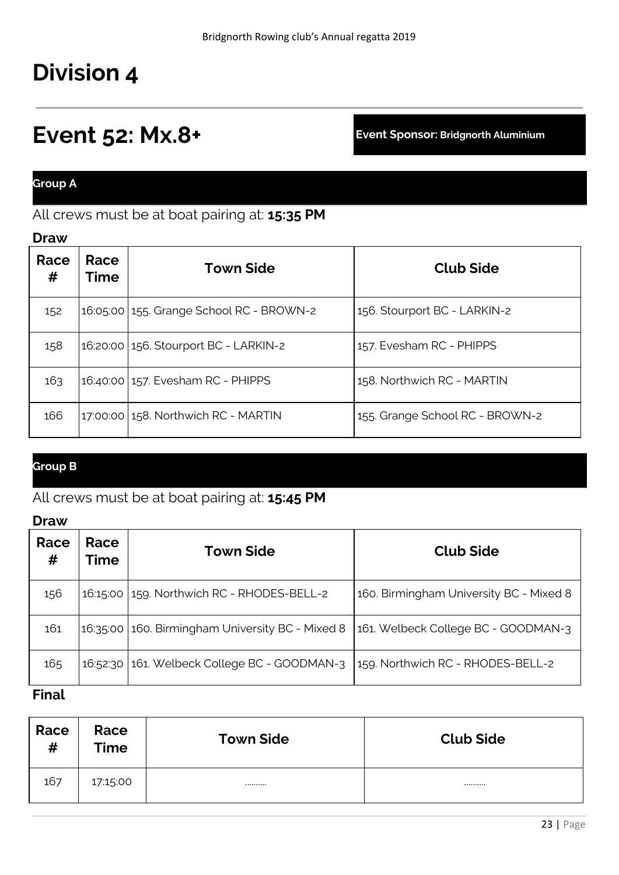### **Division 4**

### **Event 52: Mx.8+ Event Sponsor: Bridgnorth Aluminium**

### **Group A**

#### All crews must be at boat pairing at: **15:35 PM**

#### **Draw**

| Race<br># | Race<br>Time | <b>Town Side</b>                         | <b>Club Side</b>                |
|-----------|--------------|------------------------------------------|---------------------------------|
| 152       |              | 16:05:00 155. Grange School RC - BROWN-2 | 156. Stourport BC - LARKIN-2    |
| 158       |              | 16:20:00   156. Stourport BC - LARKIN-2  | 157. Evesham RC - PHIPPS        |
| 163       |              | 16:40:00 157. Evesham RC - PHIPPS        | 158. Northwich RC - MARTIN      |
| 166       |              | 17:00:00 158. Northwich RC - MARTIN      | 155. Grange School RC - BROWN-2 |

### **Group B**

### All crews must be at boat pairing at: **15:45 PM**

#### **Draw**

| Race<br># | Race<br><b>Time</b> | <b>Town Side</b>                                 | <b>Club Side</b>                        |
|-----------|---------------------|--------------------------------------------------|-----------------------------------------|
| 156       |                     | 16:15:00   159. Northwich RC - RHODES-BELL-2     | 160. Birmingham University BC - Mixed 8 |
| 161       |                     | 16:35:00 160. Birmingham University BC - Mixed 8 | 161. Welbeck College BC - GOODMAN-3     |
| 165       |                     | 16:52:30 161. Welbeck College BC - GOODMAN-3     | 159. Northwich RC - RHODES-BELL-2       |
|           |                     |                                                  |                                         |

#### **Final**

| Race<br># | Race<br>Time | <b>Town Side</b> | <b>Club Side</b> |
|-----------|--------------|------------------|------------------|
| 167       | 17:15:00     |                  |                  |